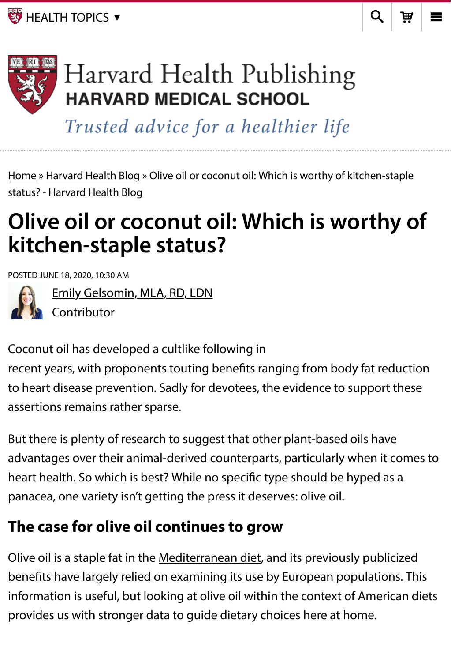**EX** [HEALTH TOPICS](https://www.health.harvard.edu/blog/olive-oil-or-coconut-oil-which-is-worthy-of-kitchen-staple-status-2020061820077#) ▼  $\qquad \qquad$ 



# Harvard Health Publishing **HARVARD MEDICAL SCHOOL**

Trusted advice for a healthier life

[Home](https://www.health.harvard.edu/) » [Harvard Health Blog](https://www.health.harvard.edu/blog) » Olive oil or coconut oil: Which is worthy of kitchen-staple status? - Harvard Health Blog

# **Olive oil or coconut oil: Which is worthy of kitchen-staple status?**

POSTED JUNE 18, 2020, 10:30 AM



[Emily Gelsomin, MLA, RD, LDN](https://www.health.harvard.edu/blog/author/egelsomin)

Contributor

Coconut oil has developed a cultlike following in

recent years, with proponents touting benefts ranging from body fat reduction to heart disease prevention. Sadly for devotees, the evidence to support these assertions remains rather sparse.

But there is plenty of research to suggest that other plant-based oils have advantages over their animal-derived counterparts, particularly when it comes to heart health. So which is best? While no specifc type should be hyped as a panacea, one variety isn't getting the press it deserves: olive oil.

## **The case for olive oil continues to grow**

Olive oil is a staple fat in the [Mediterranean diet](https://www.health.harvard.edu/blog/a-practical-guide-to-the-mediterranean-diet-2019032116194), and its previously publicized benefts have largely relied on examining its use by European populations. This information is useful, but looking at olive oil within the context of American diets provides us with stronger data to guide dietary choices here at home.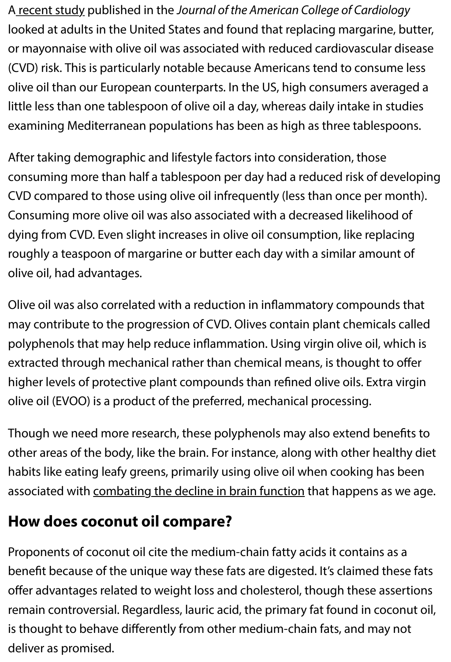A [recent study](https://www.onlinejacc.org/content/75/15/1729) published in the *Journal of the American College of Cardiology* looked at adults in the United States and found that replacing margarine, butter, or mayonnaise with olive oil was associated with reduced cardiovascular disease (CVD) risk. This is particularly notable because Americans tend to consume less olive oil than our European counterparts. In the US, high consumers averaged a little less than one tablespoon of olive oil a day, whereas daily intake in studies examining Mediterranean populations has been as high as three tablespoons.

After taking demographic and lifestyle factors into consideration, those consuming more than half a tablespoon per day had a reduced risk of developing CVD compared to those using olive oil infrequently (less than once per month). Consuming more olive oil was also associated with a decreased likelihood of dying from CVD. Even slight increases in olive oil consumption, like replacing roughly a teaspoon of margarine or butter each day with a similar amount of olive oil, had advantages.

Olive oil was also correlated with a reduction in infammatory compounds that may contribute to the progression of CVD. Olives contain plant chemicals called polyphenols that may help reduce infammation. Using virgin olive oil, which is extracted through mechanical rather than chemical means, is thought to ofer higher levels of protective plant compounds than refned olive oils. Extra virgin olive oil (EVOO) is a product of the preferred, mechanical processing.

Though we need more research, these polyphenols may also extend benefts to other areas of the body, like the brain. For instance, along with other healthy diet habits like eating leafy greens, primarily using olive oil when cooking has been associated with [combating the decline in brain function](https://www.ncbi.nlm.nih.gov/pmc/articles/PMC4581900/) that happens as we age.

## **How does coconut oil compare?**

Proponents of coconut oil cite the medium-chain fatty acids it contains as a beneft because of the unique way these fats are digested. It's claimed these fats offer advantages related to weight loss and cholesterol, though these assertions remain controversial. Regardless, lauric acid, the primary fat found in coconut oil, is thought to behave diferently from other medium-chain fats, and may not deliver as promised.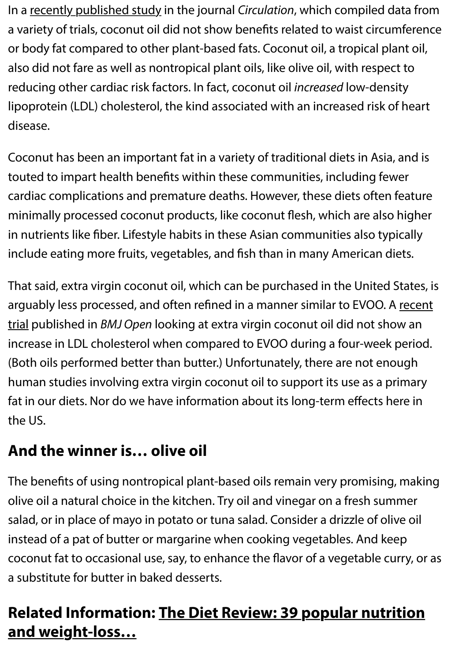In a [recently published study](https://www.ahajournals.org/doi/10.1161/CIRCULATIONAHA.119.043052) in the journal *Circulation*, which compiled data from a variety of trials, coconut oil did not show benefts related to waist circumference or body fat compared to other plant-based fats. Coconut oil, a tropical plant oil, also did not fare as well as nontropical plant oils, like olive oil, with respect to reducing other cardiac risk factors. In fact, coconut oil *increased* low-density lipoprotein (LDL) cholesterol, the kind associated with an increased risk of heart disease.

Coconut has been an important fat in a variety of traditional diets in Asia, and is touted to impart health benefts within these communities, including fewer cardiac complications and premature deaths. However, these diets often feature minimally processed coconut products, like coconut fesh, which are also higher in nutrients like fber. Lifestyle habits in these Asian communities also typically include eating more fruits, vegetables, and fsh than in many American diets.

That said, extra virgin coconut oil, which can be purchased in the United States, is arguably less processed, and often refined in a manner similar to EVOO. A recent trial published in *BMJ Open* [looking at extra virgin coconut oil did not show an](https://pubmed.ncbi.nlm.nih.gov/29511019/) increase in LDL cholesterol when compared to EVOO during a four-week period. (Both oils performed better than butter.) Unfortunately, there are not enough human studies involving extra virgin coconut oil to support its use as a primary fat in our diets. Nor do we have information about its long-term efects here in the US.

## **And the winner is… olive oil**

The benefts of using nontropical plant-based oils remain very promising, making olive oil a natural choice in the kitchen. Try oil and vinegar on a fresh summer salad, or in place of mayo in potato or tuna salad. Consider a drizzle of olive oil instead of a pat of butter or margarine when cooking vegetables. And keep coconut fat to occasional use, say, to enhance the favor of a vegetable curry, or as a substitute for butter in baked desserts.

## **[Related Information: The Diet Review: 39 popular nutrition](https://www.health.harvard.edu/special-health-reports/the-diet-review?utm_source=HHPBlog&utm_medium=link&utm_content=related-text&utm_campaign=referral) and weight-loss…**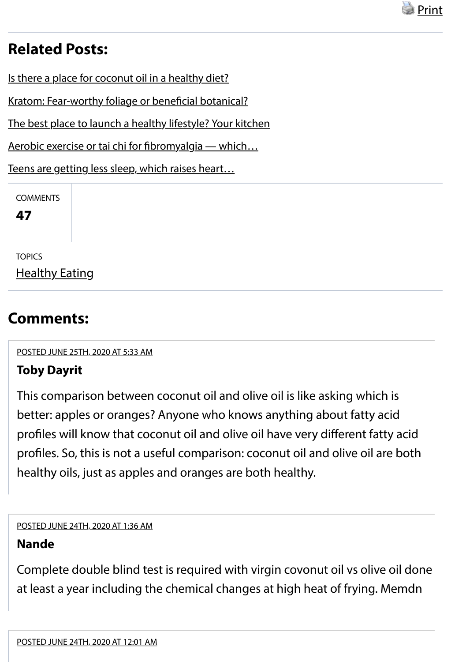

## **Related Posts:**

[Is there a place for coconut oil in a healthy diet?](https://www.health.harvard.edu/blog/is-there-a-place-for-coconut-oil-in-a-healthy-diet-2019011415764)

[Kratom: Fear-worthy foliage or bene](https://www.health.harvard.edu/blog/kratom-fear-worthy-foliage-or-beneficial-botanical-2019080717466)ficial botanical?

[The best place to launch a healthy lifestyle? Your kitchen](https://www.health.harvard.edu/blog/best-place-launch-healthy-lifestyle-kitchen-2017080312128)

[Aerobic exercise or tai chi for](https://www.health.harvard.edu/blog/aerobic-exercise-or-tai-chi-for-fibromyalgia-which-is-better-2018043013744) fbromyalgia — which…

[Teens are getting less sleep, which raises heart…](https://www.health.harvard.edu/blog/teens-are-getting-less-sleep-which-raises-heart-disease-risk-2018062614130)

**COMMENTS** 

**47**

**TOPICS** [Healthy Eating](https://www.health.harvard.edu/blog/categories/health/healthy-eating)

## **Comments:**

<span id="page-3-0"></span>1. [POSTED JUNE 25TH, 2020 AT 5:33 AM](#page-3-0)

## **Toby Dayrit**

This comparison between coconut oil and olive oil is like asking which is better: apples or oranges? Anyone who knows anything about fatty acid profles will know that coconut oil and olive oil have very diferent fatty acid profles. So, this is not a useful comparison: coconut oil and olive oil are both healthy oils, just as apples and oranges are both healthy.

#### <span id="page-3-1"></span>2. [POSTED JUNE 24TH, 2020 AT 1:36 AM](#page-3-1)

## **Nande**

<span id="page-3-2"></span>Complete double blind test is required with virgin covonut oil vs olive oil done at least a year including the chemical changes at high heat of frying. Memdn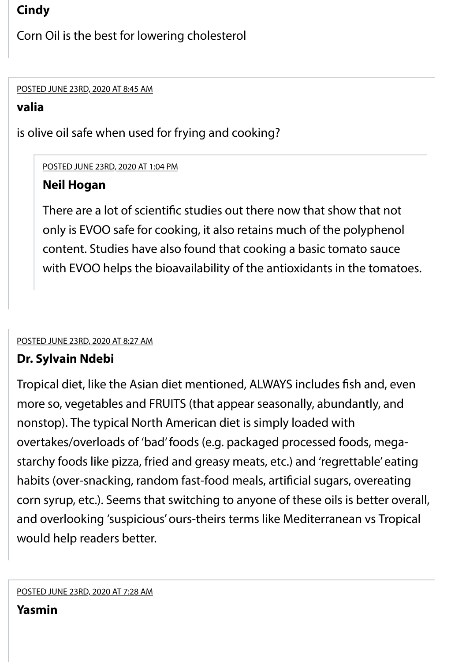## **Cindy**

Corn Oil is the best for lowering cholesterol

<span id="page-4-0"></span>4. [POSTED JUNE 23RD, 2020 AT 8:45 AM](#page-4-0)

## **valia**

is olive oil safe when used for frying and cooking?

## <span id="page-4-1"></span>[POSTED JUNE 23RD, 2020 AT 1:04 PM](#page-4-1)

## **Neil Hogan**

There are a lot of scientifc studies out there now that show that not only is EVOO safe for cooking, it also retains much of the polyphenol content. Studies have also found that cooking a basic tomato sauce with EVOO helps the bioavailability of the antioxidants in the tomatoes.

## <span id="page-4-2"></span>5. [POSTED JUNE 23RD, 2020 AT 8:27 AM](#page-4-2)

## **Dr. Sylvain Ndebi**

<span id="page-4-3"></span>Tropical diet, like the Asian diet mentioned, ALWAYS includes fsh and, even more so, vegetables and FRUITS (that appear seasonally, abundantly, and nonstop). The typical North American diet is simply loaded with overtakes/overloads of 'bad' foods (e.g. packaged processed foods, megastarchy foods like pizza, fried and greasy meats, etc.) and 'regrettable' eating habits (over-snacking, random fast-food meals, artifcial sugars, overeating corn syrup, etc.). Seems that switching to anyone of these oils is better overall, and overlooking 'suspicious' ours-theirs terms like Mediterranean vs Tropical would help readers better.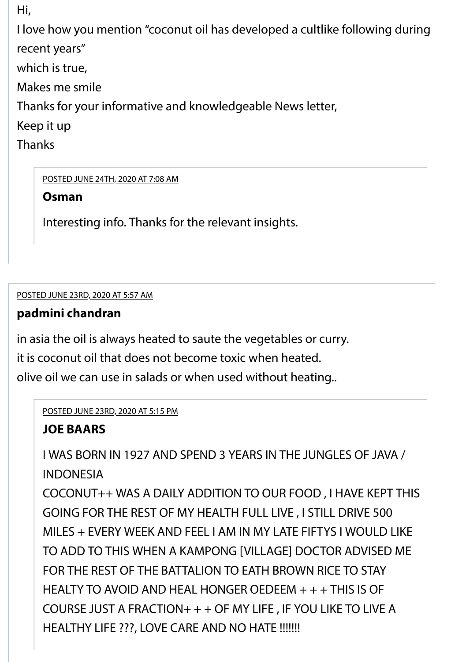Hi,

I love how you mention "coconut oil has developed a cultlike following during recent years"

which is true,

Makes me smile

Thanks for your informative and knowledgeable News letter,

Keep it up

**Thanks** 

<span id="page-5-0"></span>[POSTED JUNE 24TH, 2020 AT 7:08 AM](#page-5-0)

**Osman**

Interesting info. Thanks for the relevant insights.

<span id="page-5-1"></span>7. [POSTED JUNE 23RD, 2020 AT 5:57 AM](#page-5-1)

## **padmini chandran**

in asia the oil is always heated to saute the vegetables or curry.

it is coconut oil that does not become toxic when heated.

olive oil we can use in salads or when used without heating..

<span id="page-5-2"></span>[POSTED JUNE 23RD, 2020 AT 5:15 PM](#page-5-2)

## **JOE BAARS**

I WAS BORN IN 1927 AND SPEND 3 YEARS IN THE JUNGLES OF JAVA / INDONESIA

COCONUT++ WAS A DAILY ADDITION TO OUR FOOD , I HAVE KEPT THIS GOING FOR THE REST OF MY HEALTH FULL LIVE , I STILL DRIVE 500 MILES + EVERY WEEK AND FEEL I AM IN MY LATE FIFTYS I WOULD LIKE TO ADD TO THIS WHEN A KAMPONG [VILLAGE] DOCTOR ADVISED ME FOR THE REST OF THE BATTALION TO EATH BROWN RICE TO STAY HEALTY TO AVOID AND HEAL HONGER OEDEEM + + + THIS IS OF COURSE JUST A FRACTION+ + + OF MY LIFE , IF YOU LIKE TO LIVE A HEALTHY LIFE ???, LOVE CARE AND NO HATE !!!!!!!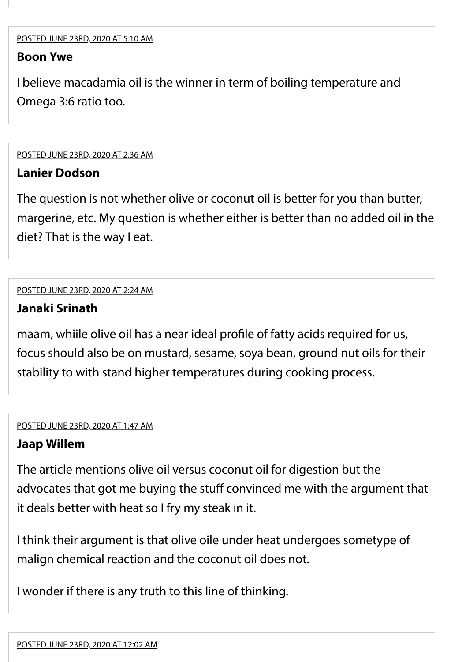#### <span id="page-6-0"></span>**Boon Ywe**

I believe macadamia oil is the winner in term of boiling temperature and Omega 3:6 ratio too.

<span id="page-6-1"></span>9. [POSTED JUNE 23RD, 2020 AT 2:36 AM](#page-6-1)

#### **Lanier Dodson**

The question is not whether olive or coconut oil is better for you than butter, margerine, etc. My question is whether either is better than no added oil in the diet? That is the way I eat.

<span id="page-6-2"></span>10. [POSTED JUNE 23RD, 2020 AT 2:24 AM](#page-6-2)

## **Janaki Srinath**

maam, whiile olive oil has a near ideal profle of fatty acids required for us, focus should also be on mustard, sesame, soya bean, ground nut oils for their stability to with stand higher temperatures during cooking process.

#### <span id="page-6-3"></span>11. [POSTED JUNE 23RD, 2020 AT 1:47 AM](#page-6-3)

## **Jaap Willem**

The article mentions olive oil versus coconut oil for digestion but the advocates that got me buying the stuff convinced me with the argument that it deals better with heat so I fry my steak in it.

I think their argument is that olive oile under heat undergoes sometype of malign chemical reaction and the coconut oil does not.

<span id="page-6-4"></span>I wonder if there is any truth to this line of thinking.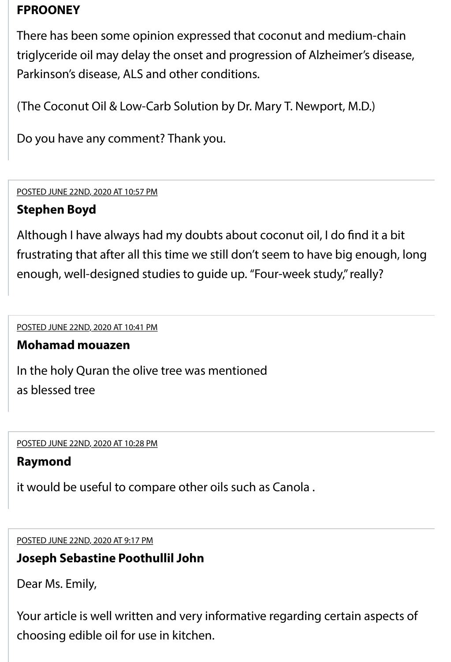## **FPROONEY**

There has been some opinion expressed that coconut and medium-chain triglyceride oil may delay the onset and progression of Alzheimer's disease, Parkinson's disease, ALS and other conditions.

(The Coconut Oil & Low-Carb Solution by Dr. Mary T. Newport, M.D.)

Do you have any comment? Thank you.

<span id="page-7-0"></span>13. [POSTED JUNE 22ND, 2020 AT 10:57 PM](#page-7-0)

### **Stephen Boyd**

Although I have always had my doubts about coconut oil, I do fnd it a bit frustrating that after all this time we still don't seem to have big enough, long enough, well-designed studies to guide up. "Four-week study," really?

<span id="page-7-1"></span>14. [POSTED JUNE 22ND, 2020 AT 10:41 PM](#page-7-1)

#### **Mohamad mouazen**

In the holy Quran the olive tree was mentioned as blessed tree

<span id="page-7-2"></span>15. [POSTED JUNE 22ND, 2020 AT 10:28 PM](#page-7-2)

#### **Raymond**

it would be useful to compare other oils such as Canola .

<span id="page-7-3"></span>16. [POSTED JUNE 22ND, 2020 AT 9:17 PM](#page-7-3)

#### **Joseph Sebastine Poothullil John**

Dear Ms. Emily,

Your article is well written and very informative regarding certain aspects of choosing edible oil for use in kitchen.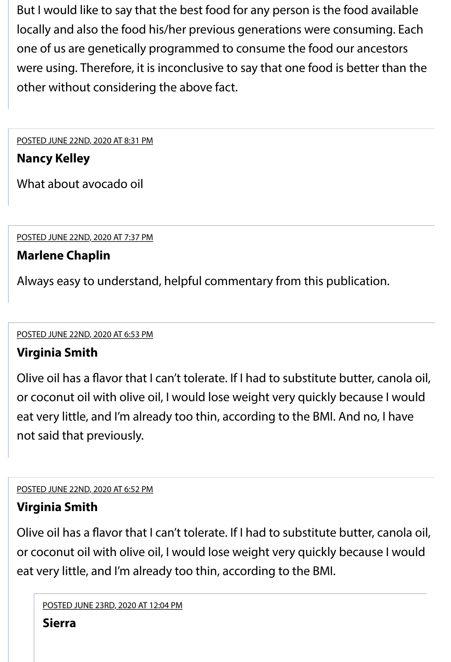But I would like to say that the best food for any person is the food available locally and also the food his/her previous generations were consuming. Each one of us are genetically programmed to consume the food our ancestors were using. Therefore, it is inconclusive to say that one food is better than the other without considering the above fact.

<span id="page-8-0"></span>17. [POSTED JUNE 22ND, 2020 AT 8:31 PM](#page-8-0)

## **Nancy Kelley**

What about avocado oil

<span id="page-8-1"></span>18. [POSTED JUNE 22ND, 2020 AT 7:37 PM](#page-8-1)

## **Marlene Chaplin**

Always easy to understand, helpful commentary from this publication.

<span id="page-8-2"></span>19. [POSTED JUNE 22ND, 2020 AT 6:53 PM](#page-8-2)

## **Virginia Smith**

Olive oil has a favor that I can't tolerate. If I had to substitute butter, canola oil, or coconut oil with olive oil, I would lose weight very quickly because I would eat very little, and I'm already too thin, according to the BMI. And no, I have not said that previously.

<span id="page-8-3"></span>20. [POSTED JUNE 22ND, 2020 AT 6:52 PM](#page-8-3)

## **Virginia Smith**

Olive oil has a favor that I can't tolerate. If I had to substitute butter, canola oil, or coconut oil with olive oil, I would lose weight very quickly because I would eat very little, and I'm already too thin, according to the BMI.

```
POSTED JUNE 23RD, 2020 AT 12:04 PM
```
**Sierra**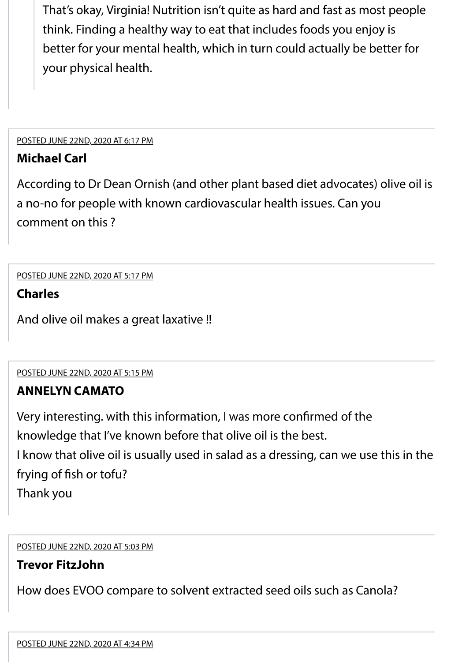That's okay, Virginia! Nutrition isn't quite as hard and fast as most people think. Finding a healthy way to eat that includes foods you enjoy is better for your mental health, which in turn could actually be better for your physical health.

#### <span id="page-9-0"></span>21. [POSTED JUNE 22ND, 2020 AT 6:17 PM](#page-9-0)

#### **Michael Carl**

According to Dr Dean Ornish (and other plant based diet advocates) olive oil is a no-no for people with known cardiovascular health issues. Can you comment on this ?

#### <span id="page-9-1"></span>[POSTED JUNE 22ND, 2020 AT 5:17 PM](#page-9-1)

#### **Charles**

And olive oil makes a great laxative !!

<span id="page-9-2"></span>23. [POSTED JUNE 22ND, 2020 AT 5:15 PM](#page-9-2)

#### **ANNELYN CAMATO**

Very interesting. with this information, I was more confrmed of the

knowledge that I've known before that olive oil is the best.

I know that olive oil is usually used in salad as a dressing, can we use this in the frying of fsh or tofu?

Thank you

<span id="page-9-3"></span>24. [POSTED JUNE 22ND, 2020 AT 5:03 PM](#page-9-3)

#### **Trevor FitzJohn**

<span id="page-9-4"></span>How does EVOO compare to solvent extracted seed oils such as Canola?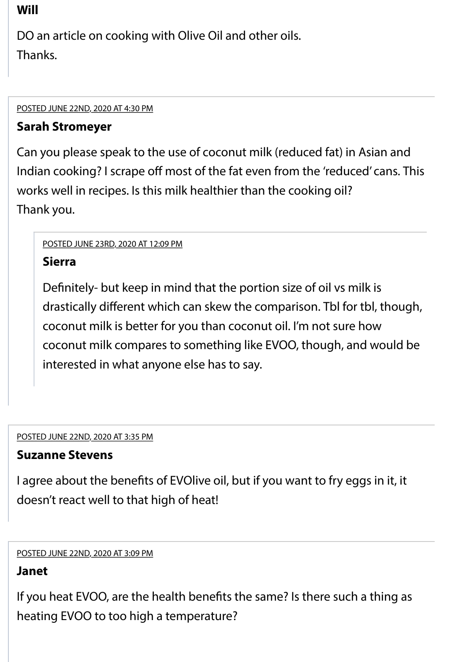## **Will**

DO an article on cooking with Olive Oil and other oils. Thanks.

#### <span id="page-10-0"></span>26. [POSTED JUNE 22ND, 2020 AT 4:30 PM](#page-10-0)

### **Sarah Stromeyer**

Can you please speak to the use of coconut milk (reduced fat) in Asian and Indian cooking? I scrape off most of the fat even from the 'reduced' cans. This works well in recipes. Is this milk healthier than the cooking oil? Thank you.

#### <span id="page-10-1"></span>[POSTED JUNE 23RD, 2020 AT 12:09 PM](#page-10-1)

### **Sierra**

Defnitely- but keep in mind that the portion size of oil vs milk is drastically diferent which can skew the comparison. Tbl for tbl, though, coconut milk is better for you than coconut oil. I'm not sure how coconut milk compares to something like EVOO, though, and would be interested in what anyone else has to say.

#### <span id="page-10-2"></span>27. [POSTED JUNE 22ND, 2020 AT 3:35 PM](#page-10-2)

## **Suzanne Stevens**

I agree about the benefts of EVOlive oil, but if you want to fry eggs in it, it doesn't react well to that high of heat!

#### <span id="page-10-3"></span>28. [POSTED JUNE 22ND, 2020 AT 3:09 PM](#page-10-3)

## **Janet**

If you heat EVOO, are the health benefts the same? Is there such a thing as heating EVOO to too high a temperature?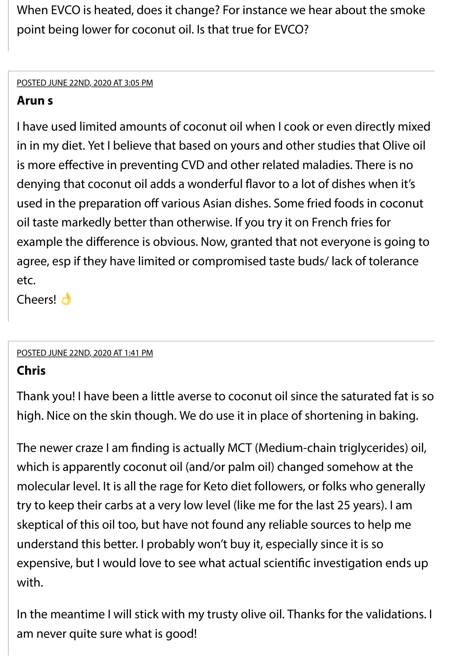When EVCO is heated, does it change? For instance we hear about the smoke point being lower for coconut oil. Is that true for EVCO?

#### <span id="page-11-0"></span>29. [POSTED JUNE 22ND, 2020 AT 3:05 PM](#page-11-0)

## **Arun s**

I have used limited amounts of coconut oil when I cook or even directly mixed in in my diet. Yet I believe that based on yours and other studies that Olive oil is more efective in preventing CVD and other related maladies. There is no denying that coconut oil adds a wonderful favor to a lot of dishes when it's used in the preparation off various Asian dishes. Some fried foods in coconut oil taste markedly better than otherwise. If you try it on French fries for example the diference is obvious. Now, granted that not everyone is going to agree, esp if they have limited or compromised taste buds/ lack of tolerance etc.

Cheers! **d** 

#### <span id="page-11-1"></span>[POSTED JUNE 22ND, 2020 AT 1:41 PM](#page-11-1)

## **Chris**

Thank you! I have been a little averse to coconut oil since the saturated fat is so high. Nice on the skin though. We do use it in place of shortening in baking.

The newer craze I am fnding is actually MCT (Medium-chain triglycerides) oil, which is apparently coconut oil (and/or palm oil) changed somehow at the molecular level. It is all the rage for Keto diet followers, or folks who generally try to keep their carbs at a very low level (like me for the last 25 years). I am skeptical of this oil too, but have not found any reliable sources to help me understand this better. I probably won't buy it, especially since it is so expensive, but I would love to see what actual scientifc investigation ends up with.

In the meantime I will stick with my trusty olive oil. Thanks for the validations. I am never quite sure what is good!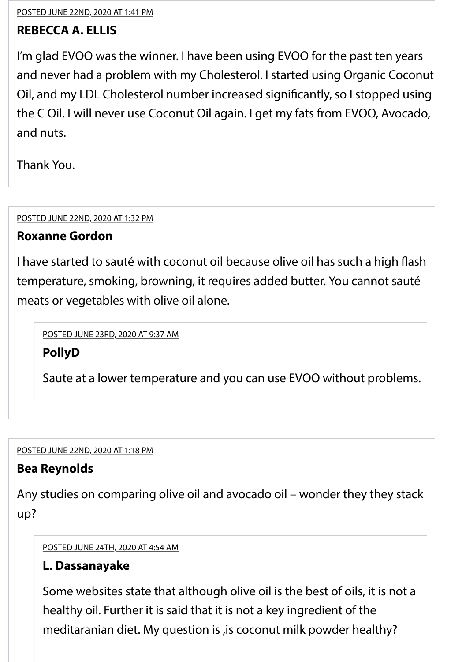<span id="page-12-0"></span>31. [POSTED JUNE 22ND, 2020 AT 1:41 PM](#page-12-0)

## **REBECCA A. ELLIS**

I'm glad EVOO was the winner. I have been using EVOO for the past ten years and never had a problem with my Cholesterol. I started using Organic Coconut Oil, and my LDL Cholesterol number increased signifcantly, so I stopped using the C Oil. I will never use Coconut Oil again. I get my fats from EVOO, Avocado, and nuts.

Thank You.

<span id="page-12-1"></span>32. [POSTED JUNE 22ND, 2020 AT 1:32 PM](#page-12-1)

## **Roxanne Gordon**

I have started to sauté with coconut oil because olive oil has such a high fash temperature, smoking, browning, it requires added butter. You cannot sauté meats or vegetables with olive oil alone.

<span id="page-12-2"></span>[POSTED JUNE 23RD, 2020 AT 9:37 AM](#page-12-2)

## **PollyD**

Saute at a lower temperature and you can use EVOO without problems.

<span id="page-12-3"></span>33. [POSTED JUNE 22ND, 2020 AT 1:18 PM](#page-12-3)

## **Bea Reynolds**

Any studies on comparing olive oil and avocado oil – wonder they they stack up?

<span id="page-12-4"></span>[POSTED JUNE 24TH, 2020 AT 4:54 AM](#page-12-4)

## **L. Dassanayake**

Some websites state that although olive oil is the best of oils, it is not a healthy oil. Further it is said that it is not a key ingredient of the meditaranian diet. My question is ,is coconut milk powder healthy?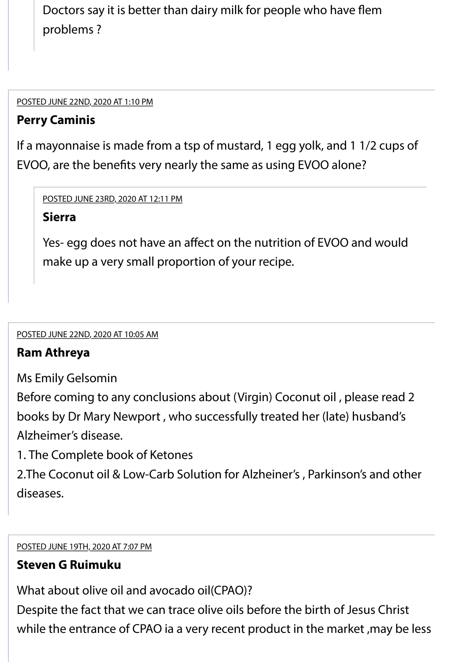Doctors say it is better than dairy milk for people who have fem problems ?

<span id="page-13-0"></span>34. [POSTED JUNE 22ND, 2020 AT 1:10 PM](#page-13-0)

## **Perry Caminis**

If a mayonnaise is made from a tsp of mustard, 1 egg yolk, and 1 1/2 cups of EVOO, are the benefts very nearly the same as using EVOO alone?

<span id="page-13-1"></span>[POSTED JUNE 23RD, 2020 AT 12:11 PM](#page-13-1)

**Sierra**

Yes- egg does not have an afect on the nutrition of EVOO and would make up a very small proportion of your recipe.

<span id="page-13-2"></span>35. [POSTED JUNE 22ND, 2020 AT 10:05 AM](#page-13-2)

## **Ram Athreya**

Ms Emily Gelsomin

Before coming to any conclusions about (Virgin) Coconut oil , please read 2 books by Dr Mary Newport , who successfully treated her (late) husband's Alzheimer's disease.

1. The Complete book of Ketones

2.The Coconut oil & Low-Carb Solution for Alzheiner's , Parkinson's and other diseases.

<span id="page-13-3"></span>36. [POSTED JUNE 19TH, 2020 AT 7:07 PM](#page-13-3)

## **Steven G Ruimuku**

What about olive oil and avocado oil(CPAO)?

Despite the fact that we can trace olive oils before the birth of Jesus Christ while the entrance of CPAO ia a very recent product in the market, may be less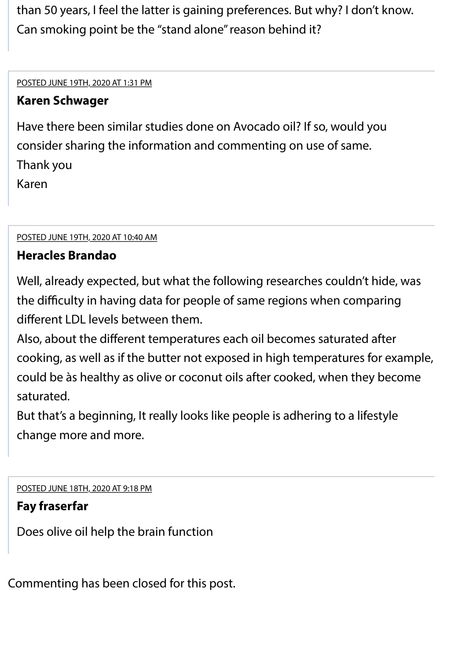than 50 years, I feel the latter is gaining preferences. But why? I don't know. Can smoking point be the "stand alone" reason behind it?

<span id="page-14-0"></span>[POSTED JUNE 19TH, 2020 AT 1:31 PM](#page-14-0)

## **Karen Schwager**

Have there been similar studies done on Avocado oil? If so, would you consider sharing the information and commenting on use of same. Thank you Karen

<span id="page-14-1"></span>38. [POSTED JUNE 19TH, 2020 AT 10:40 AM](#page-14-1)

## **Heracles Brandao**

Well, already expected, but what the following researches couldn't hide, was the difficulty in having data for people of same regions when comparing diferent LDL levels between them.

Also, about the diferent temperatures each oil becomes saturated after cooking, as well as if the butter not exposed in high temperatures for example, could be às healthy as olive or coconut oils after cooked, when they become saturated.

But that's a beginning, It really looks like people is adhering to a lifestyle change more and more.

<span id="page-14-2"></span>[POSTED JUNE 18TH, 2020 AT 9:18 PM](#page-14-2)

## **Fay fraserfar**

Does olive oil help the brain function

Commenting has been closed for this post.